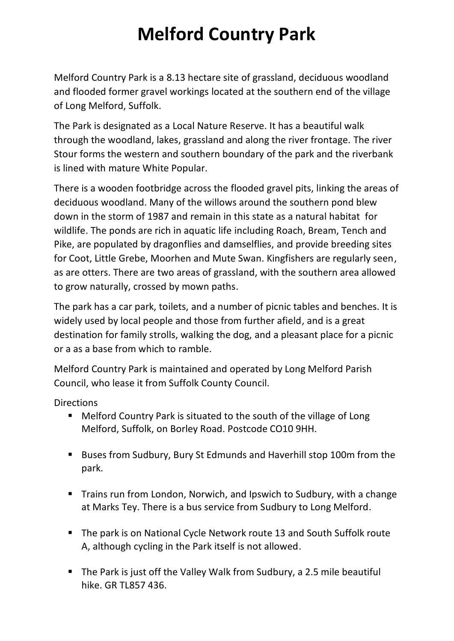## **Melford Country Park**

Melford Country Park is a 8.13 hectare site of grassland, deciduous woodland and flooded former gravel workings located at the southern end of the village of Long Melford, Suffolk.

The Park is designated as a Local Nature Reserve. It has a beautiful walk through the woodland, lakes, grassland and along the river frontage. The river Stour forms the western and southern boundary of the park and the riverbank is lined with mature White Popular.

There is a wooden footbridge across the flooded gravel pits, linking the areas of deciduous woodland. Many of the willows around the southern pond blew down in the storm of 1987 and remain in this state as a natural habitat for wildlife. The ponds are rich in aquatic life including Roach, Bream, Tench and Pike, are populated by dragonflies and damselflies, and provide breeding sites for Coot, Little Grebe, Moorhen and Mute Swan. Kingfishers are regularly seen, as are otters. There are two areas of grassland, with the southern area allowed to grow naturally, crossed by mown paths.

The park has a car park, toilets, and a number of picnic tables and benches. It is widely used by local people and those from further afield, and is a great destination for family strolls, walking the dog, and a pleasant place for a picnic or a as a base from which to ramble.

Melford Country Park is maintained and operated by Long Melford Parish Council, who lease it from Suffolk County Council.

**Directions** 

- Melford Country Park is situated to the south of the village of Long Melford, Suffolk, on Borley Road. Postcode CO10 9HH.
- Buses from Sudbury, Bury St Edmunds and Haverhill stop 100m from the park.
- Trains run from London, Norwich, and Ipswich to Sudbury, with a change at Marks Tey. There is a bus service from Sudbury to Long Melford.
- The park is on National Cycle Network route 13 and South Suffolk route A, although cycling in the Park itself is not allowed.
- The Park is just off the Valley Walk from Sudbury, a 2.5 mile beautiful hike. GR TL857 436.